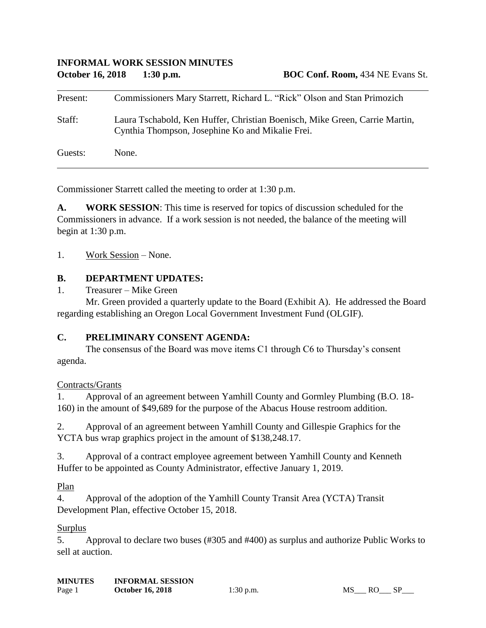## **INFORMAL WORK SESSION MINUTES October 16, 2018 1:30 p.m. BOC Conf. Room,** 434 NE Evans St.

| Present: | Commissioners Mary Starrett, Richard L. "Rick" Olson and Stan Primozich                                                         |
|----------|---------------------------------------------------------------------------------------------------------------------------------|
| Staff:   | Laura Tschabold, Ken Huffer, Christian Boenisch, Mike Green, Carrie Martin,<br>Cynthia Thompson, Josephine Ko and Mikalie Frei. |
| Guests:  | None.                                                                                                                           |

Commissioner Starrett called the meeting to order at 1:30 p.m.

**A. WORK SESSION**: This time is reserved for topics of discussion scheduled for the Commissioners in advance. If a work session is not needed, the balance of the meeting will begin at 1:30 p.m.

1. Work Session – None.

#### **B. DEPARTMENT UPDATES:**

1. Treasurer – Mike Green

Mr. Green provided a quarterly update to the Board (Exhibit A). He addressed the Board regarding establishing an Oregon Local Government Investment Fund (OLGIF).

#### **C. PRELIMINARY CONSENT AGENDA:**

The consensus of the Board was move items C1 through C6 to Thursday's consent agenda.

Contracts/Grants

1. Approval of an agreement between Yamhill County and Gormley Plumbing (B.O. 18- 160) in the amount of \$49,689 for the purpose of the Abacus House restroom addition.

2. Approval of an agreement between Yamhill County and Gillespie Graphics for the YCTA bus wrap graphics project in the amount of \$138,248.17.

3. Approval of a contract employee agreement between Yamhill County and Kenneth Huffer to be appointed as County Administrator, effective January 1, 2019.

Plan

4. Approval of the adoption of the Yamhill County Transit Area (YCTA) Transit Development Plan, effective October 15, 2018.

#### Surplus

5. Approval to declare two buses (#305 and #400) as surplus and authorize Public Works to sell at auction.